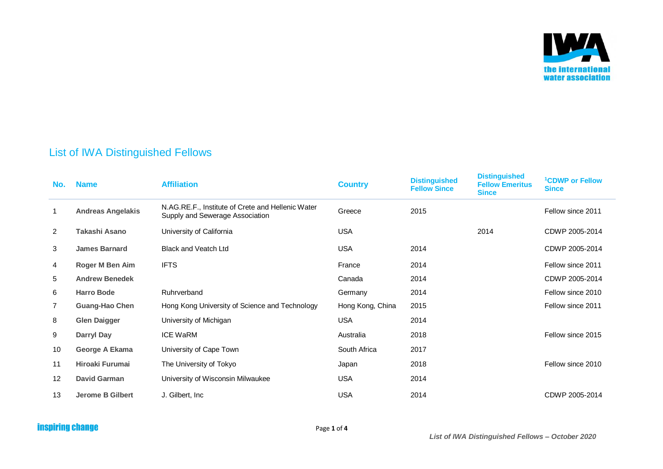

## List of IWA Distinguished Fellows

| No.            | <b>Name</b>              | <b>Affiliation</b>                                                                   | <b>Country</b>   | <b>Distinguished</b><br><b>Fellow Since</b> | <b>Distinguished</b><br><b>Fellow Emeritus</b><br><b>Since</b> | <sup>1</sup> CDWP or Fellow<br><b>Since</b> |
|----------------|--------------------------|--------------------------------------------------------------------------------------|------------------|---------------------------------------------|----------------------------------------------------------------|---------------------------------------------|
| $\mathbf 1$    | <b>Andreas Angelakis</b> | N.AG.RE.F., Institute of Crete and Hellenic Water<br>Supply and Sewerage Association | Greece           | 2015                                        |                                                                | Fellow since 2011                           |
| $\overline{2}$ | Takashi Asano            | University of California                                                             | <b>USA</b>       |                                             | 2014                                                           | CDWP 2005-2014                              |
| 3              | <b>James Barnard</b>     | <b>Black and Veatch Ltd</b>                                                          | <b>USA</b>       | 2014                                        |                                                                | CDWP 2005-2014                              |
| 4              | Roger M Ben Aim          | <b>IFTS</b>                                                                          | France           | 2014                                        |                                                                | Fellow since 2011                           |
| 5              | <b>Andrew Benedek</b>    |                                                                                      | Canada           | 2014                                        |                                                                | CDWP 2005-2014                              |
| 6              | <b>Harro Bode</b>        | Ruhrverband                                                                          | Germany          | 2014                                        |                                                                | Fellow since 2010                           |
| $\overline{7}$ | <b>Guang-Hao Chen</b>    | Hong Kong University of Science and Technology                                       | Hong Kong, China | 2015                                        |                                                                | Fellow since 2011                           |
| 8              | <b>Glen Daigger</b>      | University of Michigan                                                               | <b>USA</b>       | 2014                                        |                                                                |                                             |
| 9              | Darryl Day               | <b>ICE WaRM</b>                                                                      | Australia        | 2018                                        |                                                                | Fellow since 2015                           |
| 10             | George A Ekama           | University of Cape Town                                                              | South Africa     | 2017                                        |                                                                |                                             |
| 11             | Hiroaki Furumai          | The University of Tokyo                                                              | Japan            | 2018                                        |                                                                | Fellow since 2010                           |
| 12             | <b>David Garman</b>      | University of Wisconsin Milwaukee                                                    | <b>USA</b>       | 2014                                        |                                                                |                                             |
| 13             | <b>Jerome B Gilbert</b>  | J. Gilbert, Inc.                                                                     | <b>USA</b>       | 2014                                        |                                                                | CDWP 2005-2014                              |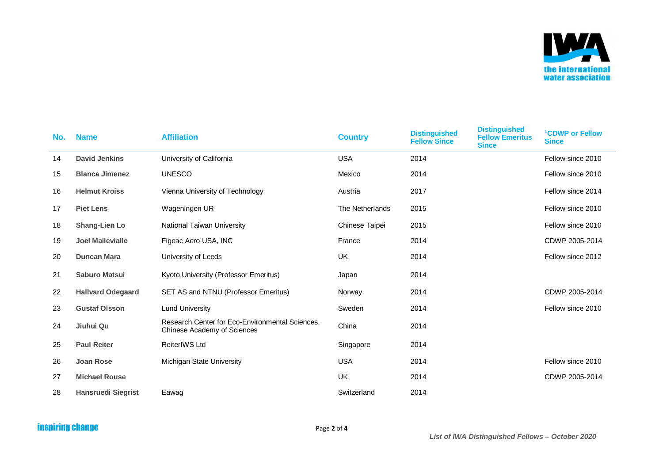

| No. | <b>Name</b>               | <b>Affiliation</b>                                                             | <b>Country</b>  | <b>Distinguished</b><br><b>Fellow Since</b> | <b>Distinguished</b><br><b>Fellow Emeritus</b><br><b>Since</b> | <sup>1</sup> CDWP or Fellow<br><b>Since</b> |
|-----|---------------------------|--------------------------------------------------------------------------------|-----------------|---------------------------------------------|----------------------------------------------------------------|---------------------------------------------|
| 14  | <b>David Jenkins</b>      | University of California                                                       | <b>USA</b>      | 2014                                        |                                                                | Fellow since 2010                           |
| 15  | <b>Blanca Jimenez</b>     | <b>UNESCO</b>                                                                  | Mexico          | 2014                                        |                                                                | Fellow since 2010                           |
| 16  | <b>Helmut Kroiss</b>      | Vienna University of Technology                                                | Austria         | 2017                                        |                                                                | Fellow since 2014                           |
| 17  | <b>Piet Lens</b>          | Wageningen UR                                                                  | The Netherlands | 2015                                        |                                                                | Fellow since 2010                           |
| 18  | Shang-Lien Lo             | National Taiwan University                                                     | Chinese Taipei  | 2015                                        |                                                                | Fellow since 2010                           |
| 19  | <b>Joel Mallevialle</b>   | Figeac Aero USA, INC                                                           | France          | 2014                                        |                                                                | CDWP 2005-2014                              |
| 20  | <b>Duncan Mara</b>        | University of Leeds                                                            | UK              | 2014                                        |                                                                | Fellow since 2012                           |
| 21  | <b>Saburo Matsui</b>      | Kyoto University (Professor Emeritus)                                          | Japan           | 2014                                        |                                                                |                                             |
| 22  | <b>Hallvard Odegaard</b>  | SET AS and NTNU (Professor Emeritus)                                           | Norway          | 2014                                        |                                                                | CDWP 2005-2014                              |
| 23  | <b>Gustaf Olsson</b>      | <b>Lund University</b>                                                         | Sweden          | 2014                                        |                                                                | Fellow since 2010                           |
| 24  | Jiuhui Qu                 | Research Center for Eco-Environmental Sciences,<br>Chinese Academy of Sciences | China           | 2014                                        |                                                                |                                             |
| 25  | <b>Paul Reiter</b>        | <b>ReiterIWS Ltd</b>                                                           | Singapore       | 2014                                        |                                                                |                                             |
| 26  | <b>Joan Rose</b>          | Michigan State University                                                      | <b>USA</b>      | 2014                                        |                                                                | Fellow since 2010                           |
| 27  | <b>Michael Rouse</b>      |                                                                                | UK              | 2014                                        |                                                                | CDWP 2005-2014                              |
| 28  | <b>Hansruedi Siegrist</b> | Eawag                                                                          | Switzerland     | 2014                                        |                                                                |                                             |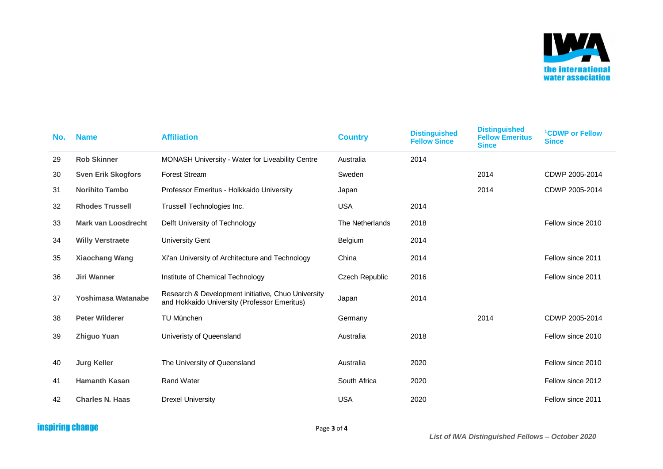

| No. | <b>Name</b>                | <b>Affiliation</b>                                                                                 | <b>Country</b>  | <b>Distinguished</b><br><b>Fellow Since</b> | <b>Distinguished</b><br><b>Fellow Emeritus</b><br><b>Since</b> | <sup>1</sup> CDWP or Fellow<br><b>Since</b> |
|-----|----------------------------|----------------------------------------------------------------------------------------------------|-----------------|---------------------------------------------|----------------------------------------------------------------|---------------------------------------------|
| 29  | <b>Rob Skinner</b>         | MONASH University - Water for Liveability Centre                                                   | Australia       | 2014                                        |                                                                |                                             |
| 30  | <b>Sven Erik Skogfors</b>  | <b>Forest Stream</b>                                                                               | Sweden          |                                             | 2014                                                           | CDWP 2005-2014                              |
| 31  | <b>Norihito Tambo</b>      | Professor Emeritus - Holkkaido University                                                          | Japan           |                                             | 2014                                                           | CDWP 2005-2014                              |
| 32  | <b>Rhodes Trussell</b>     | Trussell Technologies Inc.                                                                         | <b>USA</b>      | 2014                                        |                                                                |                                             |
| 33  | <b>Mark van Loosdrecht</b> | Delft University of Technology                                                                     | The Netherlands | 2018                                        |                                                                | Fellow since 2010                           |
| 34  | <b>Willy Verstraete</b>    | University Gent                                                                                    | Belgium         | 2014                                        |                                                                |                                             |
| 35  | <b>Xiaochang Wang</b>      | Xi'an University of Architecture and Technology                                                    | China           | 2014                                        |                                                                | Fellow since 2011                           |
| 36  | <b>Jiri Wanner</b>         | Institute of Chemical Technology                                                                   | Czech Republic  | 2016                                        |                                                                | Fellow since 2011                           |
| 37  | Yoshimasa Watanabe         | Research & Development initiative, Chuo University<br>and Hokkaido University (Professor Emeritus) | Japan           | 2014                                        |                                                                |                                             |
| 38  | <b>Peter Wilderer</b>      | TU München                                                                                         | Germany         |                                             | 2014                                                           | CDWP 2005-2014                              |
| 39  | <b>Zhiguo Yuan</b>         | Univeristy of Queensland                                                                           | Australia       | 2018                                        |                                                                | Fellow since 2010                           |
| 40  | <b>Jurg Keller</b>         | The University of Queensland                                                                       | Australia       | 2020                                        |                                                                | Fellow since 2010                           |
| 41  | <b>Hamanth Kasan</b>       | <b>Rand Water</b>                                                                                  | South Africa    | 2020                                        |                                                                | Fellow since 2012                           |
| 42  | <b>Charles N. Haas</b>     | <b>Drexel University</b>                                                                           | <b>USA</b>      | 2020                                        |                                                                | Fellow since 2011                           |